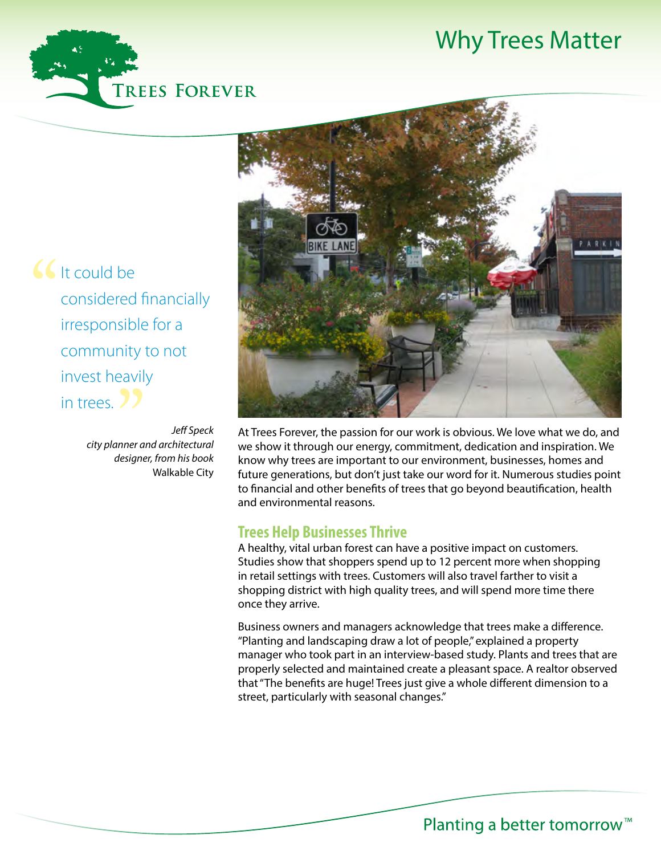# Why Trees Matter

Could be<br>
considered<br>
irresponsible considered financially irresponsible for a community to not invest heavily in trees. 2

*Jeff Speck city planner and architectural designer, from his book*  Walkable City *"*<br>nner a<br>lesigne



At Trees Forever, the passion for our work is obvious. We love what we do, and we show it through our energy, commitment, dedication and inspiration. We know why trees are important to our environment, businesses, homes and future generations, but don't just take our word for it. Numerous studies point to financial and other benefits of trees that go beyond beautification, health and environmental reasons.

#### **Trees Help Businesses Thrive**

A healthy, vital urban forest can have a positive impact on customers. Studies show that shoppers spend up to 12 percent more when shopping in retail settings with trees. Customers will also travel farther to visit a shopping district with high quality trees, and will spend more time there once they arrive.

Business owners and managers acknowledge that trees make a difference. "Planting and landscaping draw a lot of people," explained a property manager who took part in an interview-based study. Plants and trees that are properly selected and maintained create a pleasant space. A realtor observed that "The benefits are huge! Trees just give a whole different dimension to a street, particularly with seasonal changes."

Planting a better tomorrow<sup>™</sup>